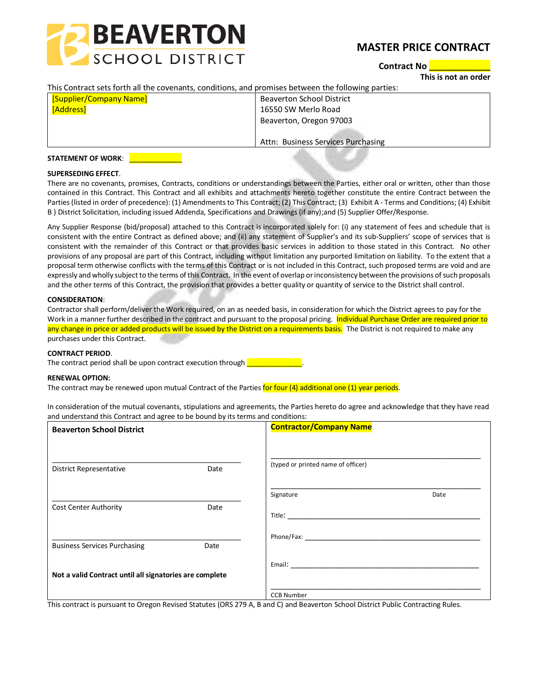

# **MASTER PRICE CONTRACT**

**Contract No \_\_\_\_\_\_\_\_\_\_\_\_\_\_**

**This is not an order**

### This Contract sets forth all the covenants, conditions, and promises between the following parties:

| <b>[Supplier/Company Name]</b> | <b>Beaverton School District</b>   |
|--------------------------------|------------------------------------|
| [Address]                      | 16550 SW Merlo Road                |
|                                | Beaverton, Oregon 97003            |
|                                |                                    |
|                                | Attn: Business Services Purchasing |

#### **STATEMENT OF WORK**: \_\_\_\_\_\_\_\_\_\_\_\_

### **SUPERSEDING EFFECT**.

There are no covenants, promises, Contracts, conditions or understandings between the Parties, either oral or written, other than those contained in this Contract. This Contract and all exhibits and attachments hereto together constitute the entire Contract between the Parties (listed in order of precedence): (1) Amendments to This Contract; (2) This Contract; (3) Exhibit A - Terms and Conditions; (4) Exhibit B ) District Solicitation, including issued Addenda, Specifications and Drawings (if any);and (5) Supplier Offer/Response.

Any Supplier Response (bid/proposal) attached to this Contract is incorporated solely for: (i) any statement of fees and schedule that is consistent with the entire Contract as defined above; and (ii) any statement of Supplier's and its sub-Suppliers' scope of services that is consistent with the remainder of this Contract or that provides basic services in addition to those stated in this Contract. No other provisions of any proposal are part of this Contract, including without limitation any purported limitation on liability. To the extent that a proposal term otherwise conflicts with the terms of this Contract or is not included in this Contract, such proposed terms are void and are expressly and wholly subject to the terms of this Contract. In the event of overlap or inconsistency between the provisions of such proposals and the other terms of this Contract, the provision that provides a better quality or quantity of service to the District shall control.

### **CONSIDERATION**:

Contractor shall perform/deliver the Work required, on an as needed basis, in consideration for which the District agrees to pay for the Work in a manner further described in the contract and pursuant to the proposal pricing. Individual Purchase Order are required prior to any change in price or added products will be issued by the District on a requirements basis. The District is not required to make any purchases under this Contract.

#### **CONTRACT PERIOD**.

The contract period shall be upon contract execution through

#### **RENEWAL OPTION:**

The contract may be renewed upon mutual Contract of the Parties for four (4) additional one (1) year periods.

In consideration of the mutual covenants, stipulations and agreements, the Parties hereto do agree and acknowledge that they have read and understand this Contract and agree to be bound by its terms and conditions:

| <b>Beaverton School District</b>                        |      | <b>Contractor/Company Name</b>                                                                                                                                                                                                 |      |
|---------------------------------------------------------|------|--------------------------------------------------------------------------------------------------------------------------------------------------------------------------------------------------------------------------------|------|
| <b>District Representative</b>                          | Date | (typed or printed name of officer)                                                                                                                                                                                             |      |
|                                                         |      | Signature                                                                                                                                                                                                                      | Date |
| <b>Cost Center Authority</b>                            | Date |                                                                                                                                                                                                                                |      |
| <b>Business Services Purchasing</b>                     | Date | Phone/Fax: The contract of the contract of the contract of the contract of the contract of the contract of the contract of the contract of the contract of the contract of the contract of the contract of the contract of the |      |
|                                                         |      |                                                                                                                                                                                                                                |      |
| Not a valid Contract until all signatories are complete |      |                                                                                                                                                                                                                                |      |
|                                                         |      | <b>CCB Number</b>                                                                                                                                                                                                              |      |

This contract is pursuant to Oregon Revised Statutes (ORS 279 A, B and C) and Beaverton School District Public Contracting Rules.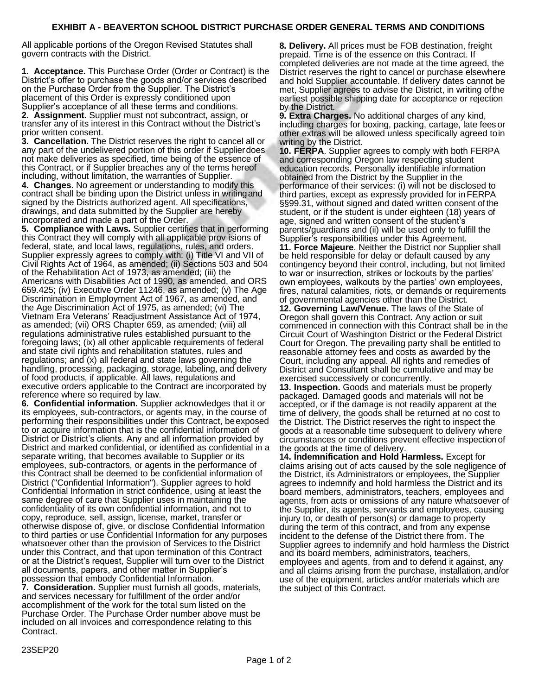## **EXHIBIT A - BEAVERTON SCHOOL DISTRICT PURCHASE ORDER GENERAL TERMS AND CONDITIONS**

All applicable portions of the Oregon Revised Statutes shall govern contracts with the District.

**1. Acceptance.** This Purchase Order (Order or Contract) is the District's offer to purchase the goods and/or services described on the Purchase Order from the Supplier. The District's placement of this Order is expressly conditioned upon Supplier's acceptance of all these terms and conditions.

**2. Assignment.** Supplier must not subcontract, assign, or transfer any of its interest in this Contract without the District's prior written consent.

**3. Cancellation.** The District reserves the right to cancel all or any part of the undelivered portion of this order if Supplierdoes not make deliveries as specified, time being of the essence of this Contract, or if Supplier breaches any of the terms hereof including, without limitation, the warranties of Supplier.

**4. Changes**. No agreement or understanding to modify this contract shall be binding upon the District unless in writingand signed by the Districts authorized agent. All specifications, drawings, and data submitted by the Supplier are hereby incorporated and made a part of the Order.

**5. Compliance with Laws.** Supplier certifies that in performing this Contract they will comply with all applicable prov isions of federal, state, and local laws, regulations, rules, and orders. Supplier expressly agrees to comply with: (i) Title VI and VII of Civil Rights Act of 1964, as amended; (ii) Sections 503 and 504 of the Rehabilitation Act of 1973, as amended; (iii) the Americans with Disabilities Act of 1990, as amended, and ORS 659.425; (iv) Executive Order 11246, as amended; (v) The Age Discrimination in Employment Act of 1967, as amended, and the Age Discrimination Act of 1975, as amended; (vi) The Vietnam Era Veterans' Readjustment Assistance Act of 1974, as amended; (vii) ORS Chapter 659, as amended; (viii) all regulations administrative rules established pursuant to the foregoing laws; (ix) all other applicable requirements of federal and state civil rights and rehabilitation statutes, rules and regulations; and (x) all federal and state laws governing the handling, processing, packaging, storage, labeling, and delivery of food products, if applicable. All laws, regulations and executive orders applicable to the Contract are incorporated by reference where so required by law.

**6. Confidential information.** Supplier acknowledges that it or its employees, sub-contractors, or agents may, in the course of performing their responsibilities under this Contract, beexposed to or acquire information that is the confidential information of District or District's clients. Any and all information provided by District and marked confidential, or identified as confidential in a separate writing, that becomes available to Supplier or its employees, sub-contractors, or agents in the performance of this Contract shall be deemed to be confidential information of District ("Confidential Information"). Supplier agrees to hold Confidential Information in strict confidence, using at least the same degree of care that Supplier uses in maintaining the confidentiality of its own confidential information, and not to copy, reproduce, sell, assign, license, market, transfer or otherwise dispose of, give, or disclose Confidential Information to third parties or use Confidential Information for any purposes whatsoever other than the provision of Services to the District under this Contract, and that upon termination of this Contract or at the District's request, Supplier will turn over to the District all documents, papers, and other matter in Supplier's possession that embody Confidential Information.

**7. Consideration.** Supplier must furnish all goods, materials, and services necessary for fulfillment of the order and/or accomplishment of the work for the total sum listed on the Purchase Order. The Purchase Order number above must be included on all invoices and correspondence relating to this Contract.

**8. Delivery.** All prices must be FOB destination, freight prepaid. Time is of the essence on this Contract. If completed deliveries are not made at the time agreed, the District reserves the right to cancel or purchase elsewhere and hold Supplier accountable. If delivery dates cannot be met, Supplier agrees to advise the District, in writing ofthe earliest possible shipping date for acceptance or rejection by the District.

**9. Extra Charges.** No additional charges of any kind, including charges for boxing, packing, cartage, late fees or other extras will be allowed unless specifically agreed toin writing by the District.

**10. FERPA**. Supplier agrees to comply with both FERPA and corresponding Oregon law respecting student education records. Personally identifiable information obtained from the District by the Supplier in the performance of their services: (i) will not be disclosed to third parties, except as expressly provided for inFERPA §§99.31, without signed and dated written consent of the student, or if the student is under eighteen (18) years of age, signed and written consent of the student's parents/guardians and (ii) will be used only to fulfill the Supplier's responsibilities under this Agreement. **11. Force Majeure**. Neither the District nor Supplier shall be held responsible for delay or default caused by any contingency beyond their control, including, but not limited

to war or insurrection, strikes or lockouts by the parties' own employees, walkouts by the parties' own employees, fires, natural calamities, riots, or demands or requirements of governmental agencies other than the District.

**12. Governing Law/Venue.** The laws of the State of Oregon shall govern this Contract. Any action or suit commenced in connection with this Contract shall be in the Circuit Court of Washington District or the Federal District Court for Oregon. The prevailing party shall be entitled to reasonable attorney fees and costs as awarded by the Court, including any appeal. All rights and remedies of District and Consultant shall be cumulative and may be exercised successively or concurrently.

**13. Inspection.** Goods and materials must be properly packaged. Damaged goods and materials will not be accepted, or if the damage is not readily apparent at the time of delivery, the goods shall be returned at no cost to the District. The District reserves the right to inspect the goods at a reasonable time subsequent to delivery where circumstances or conditions prevent effective inspection of the goods at the time of delivery.

**14. Indemnification and Hold Harmless.** Except for claims arising out of acts caused by the sole negligence of the District, its Administrators or employees, the Supplier agrees to indemnify and hold harmless the District and its board members, administrators, teachers, employees and agents, from acts or omissions of any nature whatsoever of the Supplier, its agents, servants and employees, causing injury to, or death of person(s) or damage to property during the term of this contract, and from any expense incident to the defense of the District there from. The Supplier agrees to indemnify and hold harmless the District and its board members, administrators, teachers, employees and agents, from and to defend it against, any and all claims arising from the purchase, installation,and/or use of the equipment, articles and/or materials which are the subject of this Contract.